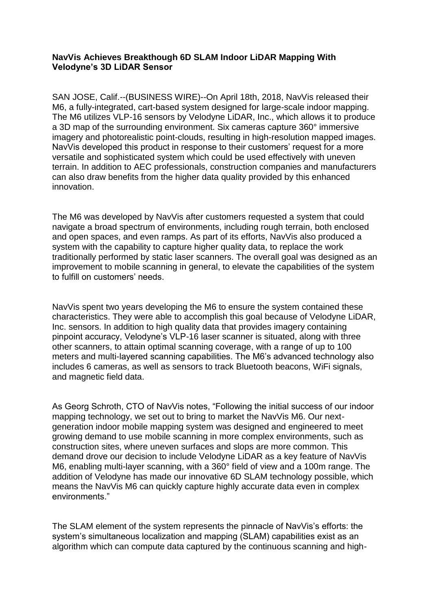## **NavVis Achieves Breakthough 6D SLAM Indoor LiDAR Mapping With Velodyne's 3D LiDAR Sensor**

SAN JOSE, Calif.--(BUSINESS WIRE)--On April 18th, 2018, NavVis released their M6, a fully-integrated, cart-based system designed for large-scale indoor mapping. The M6 utilizes VLP-16 sensors by Velodyne LiDAR, Inc., which allows it to produce a 3D map of the surrounding environment. Six cameras capture 360° immersive imagery and photorealistic point-clouds, resulting in high-resolution mapped images. NavVis developed this product in response to their customers' request for a more versatile and sophisticated system which could be used effectively with uneven terrain. In addition to AEC professionals, construction companies and manufacturers can also draw benefits from the higher data quality provided by this enhanced innovation.

The M6 was developed by NavVis after customers requested a system that could navigate a broad spectrum of environments, including rough terrain, both enclosed and open spaces, and even ramps. As part of its efforts, NavVis also produced a system with the capability to capture higher quality data, to replace the work traditionally performed by static laser scanners. The overall goal was designed as an improvement to mobile scanning in general, to elevate the capabilities of the system to fulfill on customers' needs.

NavVis spent two years developing the M6 to ensure the system contained these characteristics. They were able to accomplish this goal because of Velodyne LiDAR, Inc. sensors. In addition to high quality data that provides imagery containing pinpoint accuracy, Velodyne's VLP-16 laser scanner is situated, along with three other scanners, to attain optimal scanning coverage, with a range of up to 100 meters and multi-layered scanning capabilities. The M6's advanced technology also includes 6 cameras, as well as sensors to track Bluetooth beacons, WiFi signals, and magnetic field data.

As Georg Schroth, CTO of NavVis notes, "Following the initial success of our indoor mapping technology, we set out to bring to market the NavVis M6. Our nextgeneration indoor mobile mapping system was designed and engineered to meet growing demand to use mobile scanning in more complex environments, such as construction sites, where uneven surfaces and slops are more common. This demand drove our decision to include Velodyne LiDAR as a key feature of NavVis M6, enabling multi-layer scanning, with a 360° field of view and a 100m range. The addition of Velodyne has made our innovative 6D SLAM technology possible, which means the NavVis M6 can quickly capture highly accurate data even in complex environments."

The SLAM element of the system represents the pinnacle of NavVis's efforts: the system's simultaneous localization and mapping (SLAM) capabilities exist as an algorithm which can compute data captured by the continuous scanning and high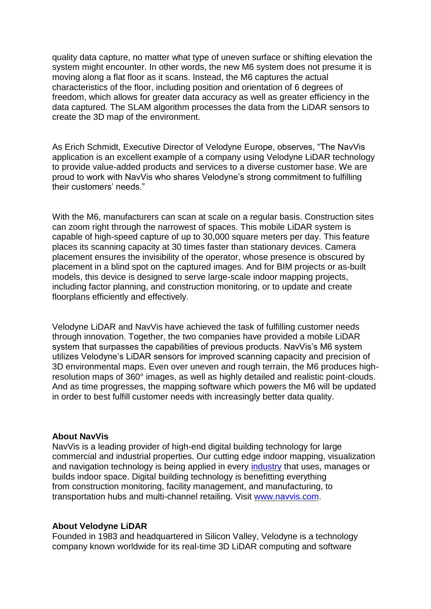quality data capture, no matter what type of uneven surface or shifting elevation the system might encounter. In other words, the new M6 system does not presume it is moving along a flat floor as it scans. Instead, the M6 captures the actual characteristics of the floor, including position and orientation of 6 degrees of freedom, which allows for greater data accuracy as well as greater efficiency in the data captured. The SLAM algorithm processes the data from the LiDAR sensors to create the 3D map of the environment.

As Erich Schmidt, Executive Director of Velodyne Europe, observes, "The NavVis application is an excellent example of a company using Velodyne LiDAR technology to provide value-added products and services to a diverse customer base. We are proud to work with NavVis who shares Velodyne's strong commitment to fulfilling their customers' needs."

With the M6, manufacturers can scan at scale on a regular basis. Construction sites can zoom right through the narrowest of spaces. This mobile LiDAR system is capable of high-speed capture of up to 30,000 square meters per day. This feature places its scanning capacity at 30 times faster than stationary devices. Camera placement ensures the invisibility of the operator, whose presence is obscured by placement in a blind spot on the captured images. And for BIM projects or as-built models, this device is designed to serve large-scale indoor mapping projects, including factor planning, and construction monitoring, or to update and create floorplans efficiently and effectively.

Velodyne LiDAR and NavVis have achieved the task of fulfilling customer needs through innovation. Together, the two companies have provided a mobile LiDAR system that surpasses the capabilities of previous products. NavVis's M6 system utilizes Velodyne's LiDAR sensors for improved scanning capacity and precision of 3D environmental maps. Even over uneven and rough terrain, the M6 produces highresolution maps of 360° images, as well as highly detailed and realistic point-clouds. And as time progresses, the mapping software which powers the M6 will be updated in order to best fulfill customer needs with increasingly better data quality.

## **About NavVis**

NavVis is a leading provider of high-end digital building technology for large commercial and industrial properties. Our cutting edge indoor mapping, visualization and navigation technology is being applied in every [industry](http://cts.businesswire.com/ct/CT?id=smartlink&url=http%3A%2F%2Fwww.navvis.com%2Fmarkets%2Foverview%2F&esheet=51869801&newsitemid=20180920005560&lan=en-US&anchor=industry&index=1&md5=404084cf6ba80635ecf56ba8eb1338e0) that uses, manages or builds indoor space. Digital building technology is benefitting everything from construction monitoring, facility management, and manufacturing, to transportation hubs and multi-channel retailing. Visit [www.navvis.com.](http://cts.businesswire.com/ct/CT?id=smartlink&url=http%3A%2F%2Fwww.navvis.com%2F&esheet=51869801&newsitemid=20180920005560&lan=en-US&anchor=www.navvis.com&index=2&md5=bd1be4bbfaa92f30a8761e515cf358c4)

## **About Velodyne LiDAR**

Founded in 1983 and headquartered in Silicon Valley, Velodyne is a technology company known worldwide for its real-time 3D LiDAR computing and software